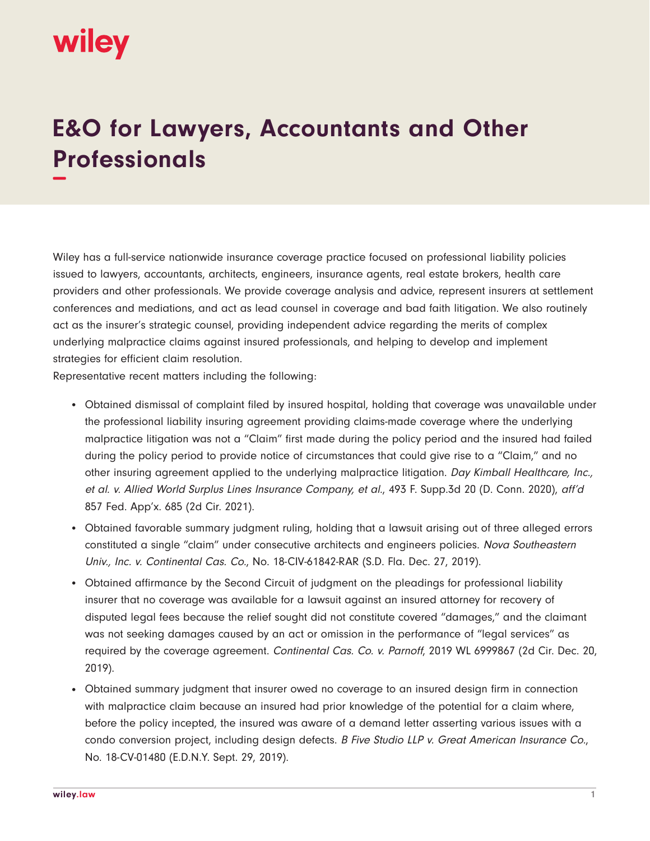## wiley

## **E&O for Lawyers, Accountants and Other Professionals −**

Wiley has a full-service nationwide insurance coverage practice focused on professional liability policies issued to lawyers, accountants, architects, engineers, insurance agents, real estate brokers, health care providers and other professionals. We provide coverage analysis and advice, represent insurers at settlement conferences and mediations, and act as lead counsel in coverage and bad faith litigation. We also routinely act as the insurer's strategic counsel, providing independent advice regarding the merits of complex underlying malpractice claims against insured professionals, and helping to develop and implement strategies for efficient claim resolution.

Representative recent matters including the following:

- Obtained dismissal of complaint filed by insured hospital, holding that coverage was unavailable under the professional liability insuring agreement providing claims-made coverage where the underlying malpractice litigation was not a "Claim" first made during the policy period and the insured had failed during the policy period to provide notice of circumstances that could give rise to a "Claim," and no other insuring agreement applied to the underlying malpractice litigation. Day Kimball Healthcare, Inc., et al. v. Allied World Surplus Lines Insurance Company, et al., 493 F. Supp.3d 20 (D. Conn. 2020), aff'd 857 Fed. App'x. 685 (2d Cir. 2021).
- Obtained favorable summary judgment ruling, holding that a lawsuit arising out of three alleged errors constituted a single "claim" under consecutive architects and engineers policies. Nova Southeastern Univ., Inc. v. Continental Cas. Co., No. 18-CIV-61842-RAR (S.D. Fla. Dec. 27, 2019).
- Obtained affirmance by the Second Circuit of judgment on the pleadings for professional liability insurer that no coverage was available for a lawsuit against an insured attorney for recovery of disputed legal fees because the relief sought did not constitute covered "damages," and the claimant was not seeking damages caused by an act or omission in the performance of "legal services" as required by the coverage agreement. Continental Cas. Co. v. Parnoff, 2019 WL 6999867 (2d Cir. Dec. 20, 2019).
- Obtained summary judgment that insurer owed no coverage to an insured design firm in connection with malpractice claim because an insured had prior knowledge of the potential for a claim where, before the policy incepted, the insured was aware of a demand letter asserting various issues with a condo conversion project, including design defects. B Five Studio LLP v. Great American Insurance Co., No. 18-CV-01480 (E.D.N.Y. Sept. 29, 2019).